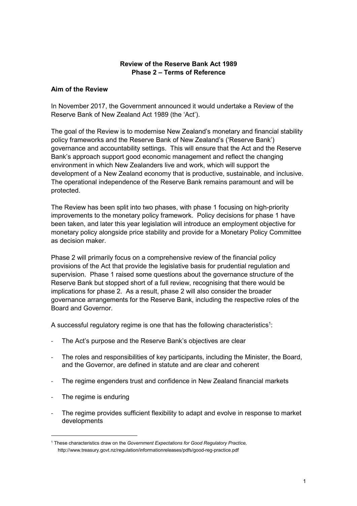## **Review of the Reserve Bank Act 1989 Phase 2 – Terms of Reference**

### **Aim of the Review**

In November 2017, the Government announced it would undertake a Review of the Reserve Bank of New Zealand Act 1989 (the 'Act').

The goal of the Review is to modernise New Zealand's monetary and financial stability policy frameworks and the Reserve Bank of New Zealand's ('Reserve Bank') governance and accountability settings. This will ensure that the Act and the Reserve Bank's approach support good economic management and reflect the changing environment in which New Zealanders live and work, which will support the development of a New Zealand economy that is productive, sustainable, and inclusive. The operational independence of the Reserve Bank remains paramount and will be protected.

The Review has been split into two phases, with phase 1 focusing on high-priority improvements to the monetary policy framework. Policy decisions for phase 1 have been taken, and later this year legislation will introduce an employment objective for monetary policy alongside price stability and provide for a Monetary Policy Committee as decision maker.

Phase 2 will primarily focus on a comprehensive review of the financial policy provisions of the Act that provide the legislative basis for prudential regulation and supervision. Phase 1 raised some questions about the governance structure of the Reserve Bank but stopped short of a full review, recognising that there would be implications for phase 2. As a result, phase 2 will also consider the broader governance arrangements for the Reserve Bank, including the respective roles of the Board and Governor.

A successful regulatory regime is one that has the following characteristics<sup>1</sup>:

- The Act's purpose and the Reserve Bank's objectives are clear
- The roles and responsibilities of key participants, including the Minister, the Board, and the Governor, are defined in statute and are clear and coherent
- The regime engenders trust and confidence in New Zealand financial markets
- The regime is enduring

The regime provides sufficient flexibility to adapt and evolve in response to market developments

<sup>1</sup> These characteristics draw on the *Government Expectations for Good Regulatory Practice,*  http://www.treasury.govt.nz/regulation/informationreleases/pdfs/good-reg-practice.pdf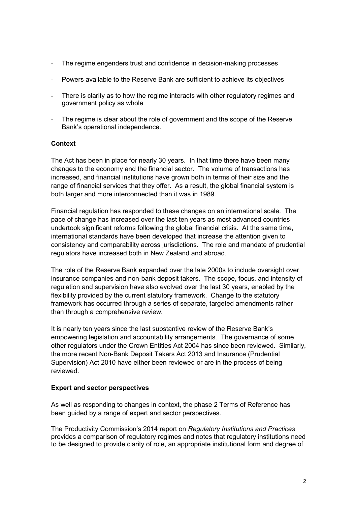- The regime engenders trust and confidence in decision-making processes
- Powers available to the Reserve Bank are sufficient to achieve its objectives
- There is clarity as to how the regime interacts with other regulatory regimes and government policy as whole
- The regime is clear about the role of government and the scope of the Reserve Bank's operational independence.

### **Context**

The Act has been in place for nearly 30 years. In that time there have been many changes to the economy and the financial sector. The volume of transactions has increased, and financial institutions have grown both in terms of their size and the range of financial services that they offer. As a result, the global financial system is both larger and more interconnected than it was in 1989.

Financial regulation has responded to these changes on an international scale. The pace of change has increased over the last ten years as most advanced countries undertook significant reforms following the global financial crisis. At the same time, international standards have been developed that increase the attention given to consistency and comparability across jurisdictions. The role and mandate of prudential regulators have increased both in New Zealand and abroad.

The role of the Reserve Bank expanded over the late 2000s to include oversight over insurance companies and non-bank deposit takers. The scope, focus, and intensity of regulation and supervision have also evolved over the last 30 years, enabled by the flexibility provided by the current statutory framework. Change to the statutory framework has occurred through a series of separate, targeted amendments rather than through a comprehensive review.

It is nearly ten years since the last substantive review of the Reserve Bank's empowering legislation and accountability arrangements. The governance of some other regulators under the Crown Entities Act 2004 has since been reviewed. Similarly, the more recent Non-Bank Deposit Takers Act 2013 and Insurance (Prudential Supervision) Act 2010 have either been reviewed or are in the process of being reviewed.

### **Expert and sector perspectives**

As well as responding to changes in context, the phase 2 Terms of Reference has been guided by a range of expert and sector perspectives.

The Productivity Commission's 2014 report on *Regulatory Institutions and Practices* provides a comparison of regulatory regimes and notes that regulatory institutions need to be designed to provide clarity of role, an appropriate institutional form and degree of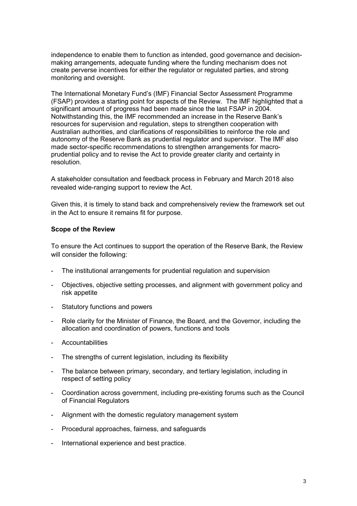independence to enable them to function as intended, good governance and decisionmaking arrangements, adequate funding where the funding mechanism does not create perverse incentives for either the regulator or regulated parties, and strong monitoring and oversight.

The International Monetary Fund's (IMF) Financial Sector Assessment Programme (FSAP) provides a starting point for aspects of the Review. The IMF highlighted that a significant amount of progress had been made since the last FSAP in 2004. Notwithstanding this, the IMF recommended an increase in the Reserve Bank's resources for supervision and regulation, steps to strengthen cooperation with Australian authorities, and clarifications of responsibilities to reinforce the role and autonomy of the Reserve Bank as prudential regulator and supervisor. The IMF also made sector-specific recommendations to strengthen arrangements for macroprudential policy and to revise the Act to provide greater clarity and certainty in resolution.

A stakeholder consultation and feedback process in February and March 2018 also revealed wide-ranging support to review the Act.

Given this, it is timely to stand back and comprehensively review the framework set out in the Act to ensure it remains fit for purpose.

### **Scope of the Review**

To ensure the Act continues to support the operation of the Reserve Bank, the Review will consider the following:

- The institutional arrangements for prudential regulation and supervision
- Objectives, objective setting processes, and alignment with government policy and risk appetite
- Statutory functions and powers
- Role clarity for the Minister of Finance, the Board, and the Governor, including the allocation and coordination of powers, functions and tools
- **Accountabilities**
- The strengths of current legislation, including its flexibility
- The balance between primary, secondary, and tertiary legislation, including in respect of setting policy
- Coordination across government, including pre-existing forums such as the Council of Financial Regulators
- Alignment with the domestic regulatory management system
- Procedural approaches, fairness, and safeguards
- International experience and best practice.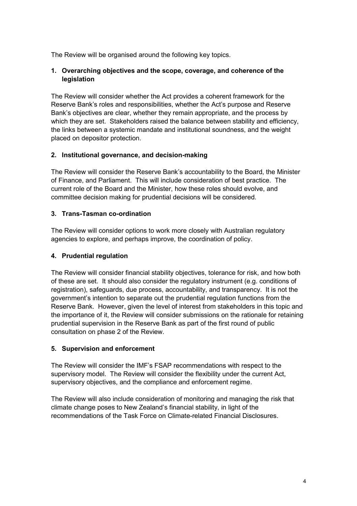The Review will be organised around the following key topics.

# **1. Overarching objectives and the scope, coverage, and coherence of the legislation**

The Review will consider whether the Act provides a coherent framework for the Reserve Bank's roles and responsibilities, whether the Act's purpose and Reserve Bank's objectives are clear, whether they remain appropriate, and the process by which they are set. Stakeholders raised the balance between stability and efficiency, the links between a systemic mandate and institutional soundness, and the weight placed on depositor protection.

## **2. Institutional governance, and decision-making**

The Review will consider the Reserve Bank's accountability to the Board, the Minister of Finance, and Parliament. This will include consideration of best practice. The current role of the Board and the Minister, how these roles should evolve, and committee decision making for prudential decisions will be considered.

# **3. Trans-Tasman co-ordination**

The Review will consider options to work more closely with Australian regulatory agencies to explore, and perhaps improve, the coordination of policy.

# **4. Prudential regulation**

The Review will consider financial stability objectives, tolerance for risk, and how both of these are set. It should also consider the regulatory instrument (e.g. conditions of registration), safeguards, due process, accountability, and transparency. It is not the government's intention to separate out the prudential regulation functions from the Reserve Bank. However, given the level of interest from stakeholders in this topic and the importance of it, the Review will consider submissions on the rationale for retaining prudential supervision in the Reserve Bank as part of the first round of public consultation on phase 2 of the Review.

## **5. Supervision and enforcement**

The Review will consider the IMF's FSAP recommendations with respect to the supervisory model. The Review will consider the flexibility under the current Act, supervisory objectives, and the compliance and enforcement regime.

The Review will also include consideration of monitoring and managing the risk that climate change poses to New Zealand's financial stability, in light of the recommendations of the Task Force on Climate-related Financial Disclosures.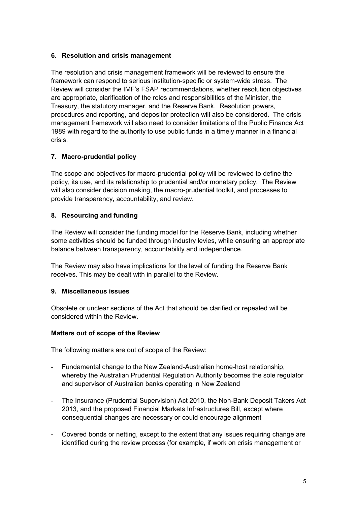## **6. Resolution and crisis management**

The resolution and crisis management framework will be reviewed to ensure the framework can respond to serious institution-specific or system-wide stress. The Review will consider the IMF's FSAP recommendations, whether resolution objectives are appropriate, clarification of the roles and responsibilities of the Minister, the Treasury, the statutory manager, and the Reserve Bank. Resolution powers, procedures and reporting, and depositor protection will also be considered. The crisis management framework will also need to consider limitations of the Public Finance Act 1989 with regard to the authority to use public funds in a timely manner in a financial crisis.

## **7. Macro-prudential policy**

The scope and objectives for macro-prudential policy will be reviewed to define the policy, its use, and its relationship to prudential and/or monetary policy. The Review will also consider decision making, the macro-prudential toolkit, and processes to provide transparency, accountability, and review.

## **8. Resourcing and funding**

The Review will consider the funding model for the Reserve Bank, including whether some activities should be funded through industry levies, while ensuring an appropriate balance between transparency, accountability and independence.

The Review may also have implications for the level of funding the Reserve Bank receives. This may be dealt with in parallel to the Review.

### **9. Miscellaneous issues**

Obsolete or unclear sections of the Act that should be clarified or repealed will be considered within the Review.

### **Matters out of scope of the Review**

The following matters are out of scope of the Review:

- Fundamental change to the New Zealand-Australian home-host relationship, whereby the Australian Prudential Regulation Authority becomes the sole regulator and supervisor of Australian banks operating in New Zealand
- The Insurance (Prudential Supervision) Act 2010, the Non-Bank Deposit Takers Act 2013, and the proposed Financial Markets Infrastructures Bill, except where consequential changes are necessary or could encourage alignment
- Covered bonds or netting, except to the extent that any issues requiring change are identified during the review process (for example, if work on crisis management or